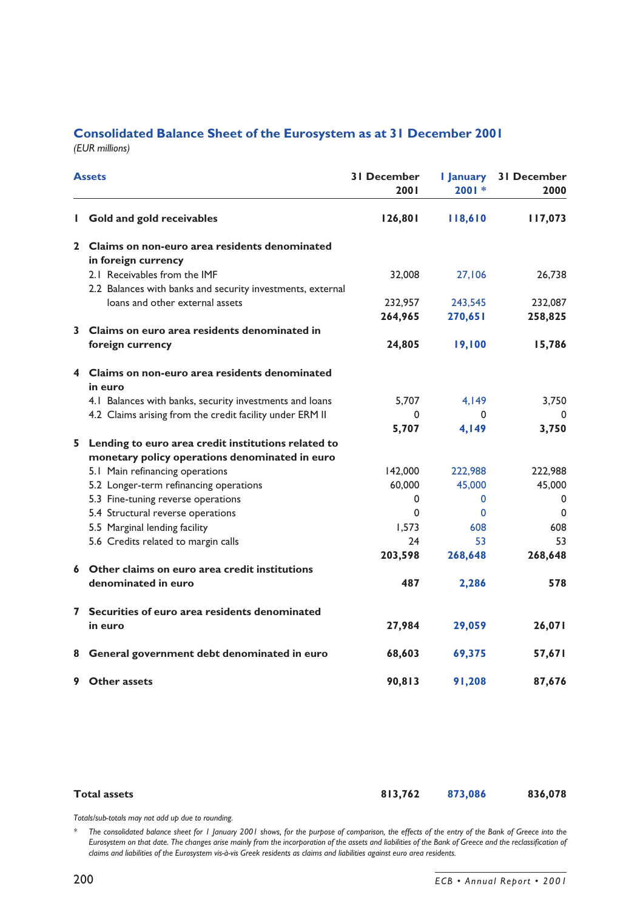## **Consolidated Balance Sheet of the Eurosystem as at 31 December 2001**

*(EUR millions)*

| <b>Assets</b> |                                                            | <b>31 December</b><br><b>2001</b> | I January<br>$2001*$ | <b>31 December</b><br>2000 |
|---------------|------------------------------------------------------------|-----------------------------------|----------------------|----------------------------|
| I.            | Gold and gold receivables                                  | 126,801                           | 118,610              | 117,073                    |
|               | 2 Claims on non-euro area residents denominated            |                                   |                      |                            |
|               | in foreign currency                                        |                                   |                      |                            |
|               | 2.1 Receivables from the IMF                               | 32,008                            | 27,106               | 26.738                     |
|               | 2.2 Balances with banks and security investments, external |                                   |                      |                            |
|               | loans and other external assets                            | 232,957                           | 243,545              | 232,087                    |
|               |                                                            | 264,965                           | 270,651              | 258,825                    |
|               | 3 Claims on euro area residents denominated in             |                                   |                      |                            |
|               | foreign currency                                           | 24,805                            | 19,100               | 15,786                     |
| 4             | Claims on non-euro area residents denominated              |                                   |                      |                            |
|               | in euro                                                    |                                   |                      |                            |
|               | 4.1 Balances with banks, security investments and loans    | 5,707                             | 4,149                | 3,750                      |
|               | 4.2 Claims arising from the credit facility under ERM II   | $\Omega$                          | O                    |                            |
|               |                                                            | 5,707                             | 4,149                | 3,750                      |
|               | 5 Lending to euro area credit institutions related to      |                                   |                      |                            |
|               | monetary policy operations denominated in euro             |                                   |                      |                            |
|               | 5.1 Main refinancing operations                            | 142,000                           | 222,988              | 222,988                    |
|               | 5.2 Longer-term refinancing operations                     | 60,000                            | 45,000               | 45,000                     |
|               | 5.3 Fine-tuning reverse operations                         | $\Omega$                          | 0                    | 0                          |
|               | 5.4 Structural reverse operations                          | $\Omega$                          | 0                    | 0                          |
|               | 5.5 Marginal lending facility                              | 1,573                             | 608                  | 608                        |
|               | 5.6 Credits related to margin calls                        | 24                                | 53                   | 53                         |
|               |                                                            | 203,598                           | 268,648              | 268,648                    |
|               | 6 Other claims on euro area credit institutions            |                                   |                      |                            |
|               | denominated in euro                                        | 487                               | 2,286                | 578                        |
| 7             | Securities of euro area residents denominated              |                                   |                      |                            |
|               | in euro                                                    | 27,984                            | 29,059               | 26,071                     |
| 8             | General government debt denominated in euro                | 68,603                            | 69,375               | 57,671                     |
| 9             | <b>Other assets</b>                                        | 90,813                            | 91,208               | 87,676                     |

| <b>Total assets</b> | 813,762 873,086 | 836,078 |
|---------------------|-----------------|---------|
|                     |                 |         |

*Totals/sub-totals may not add up due to rounding.*

*\* The consolidated balance sheet for 1 January 2001 shows, for the purpose of comparison, the effects of the entry of the Bank of Greece into the Eurosystem on that date. The changes arise mainly from the incorporation of the assets and liabilities of the Bank of Greece and the reclassification of claims and liabilities of the Eurosystem vis-à-vis Greek residents as claims and liabilities against euro area residents.*